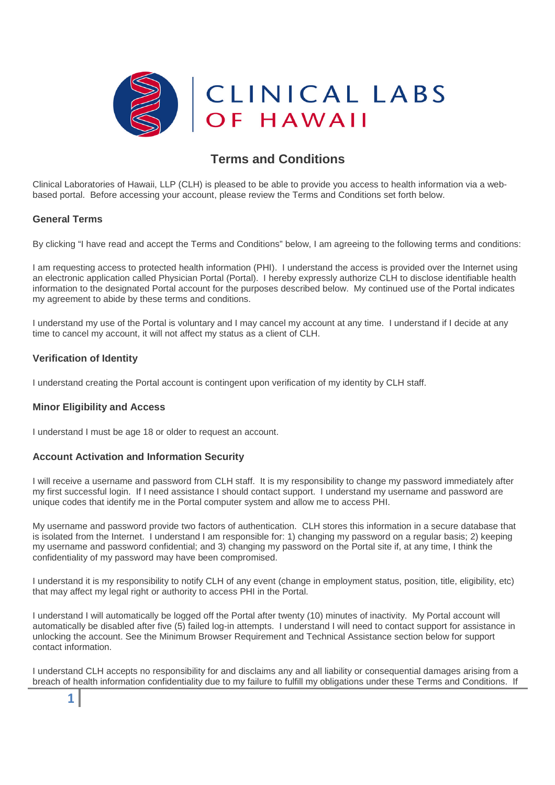

# **Terms and Conditions**

Clinical Laboratories of Hawaii, LLP (CLH) is pleased to be able to provide you access to health information via a webbased portal. Before accessing your account, please review the Terms and Conditions set forth below.

#### **General Terms**

By clicking "I have read and accept the Terms and Conditions" below, I am agreeing to the following terms and conditions:

I am requesting access to protected health information (PHI). I understand the access is provided over the Internet using an electronic application called Physician Portal (Portal). I hereby expressly authorize CLH to disclose identifiable health information to the designated Portal account for the purposes described below. My continued use of the Portal indicates my agreement to abide by these terms and conditions.

I understand my use of the Portal is voluntary and I may cancel my account at any time. I understand if I decide at any time to cancel my account, it will not affect my status as a client of CLH.

## **Verification of Identity**

**1**

I understand creating the Portal account is contingent upon verification of my identity by CLH staff.

#### **Minor Eligibility and Access**

I understand I must be age 18 or older to request an account.

#### **Account Activation and Information Security**

I will receive a username and password from CLH staff. It is my responsibility to change my password immediately after my first successful login. If I need assistance I should contact support. I understand my username and password are unique codes that identify me in the Portal computer system and allow me to access PHI.

My username and password provide two factors of authentication. CLH stores this information in a secure database that is isolated from the Internet. I understand I am responsible for: 1) changing my password on a regular basis; 2) keeping my username and password confidential; and 3) changing my password on the Portal site if, at any time, I think the confidentiality of my password may have been compromised.

I understand it is my responsibility to notify CLH of any event (change in employment status, position, title, eligibility, etc) that may affect my legal right or authority to access PHI in the Portal.

I understand I will automatically be logged off the Portal after twenty (10) minutes of inactivity. My Portal account will automatically be disabled after five (5) failed log-in attempts. I understand I will need to contact support for assistance in unlocking the account. See the Minimum Browser Requirement and Technical Assistance section below for support contact information.

I understand CLH accepts no responsibility for and disclaims any and all liability or consequential damages arising from a breach of health information confidentiality due to my failure to fulfill my obligations under these Terms and Conditions. If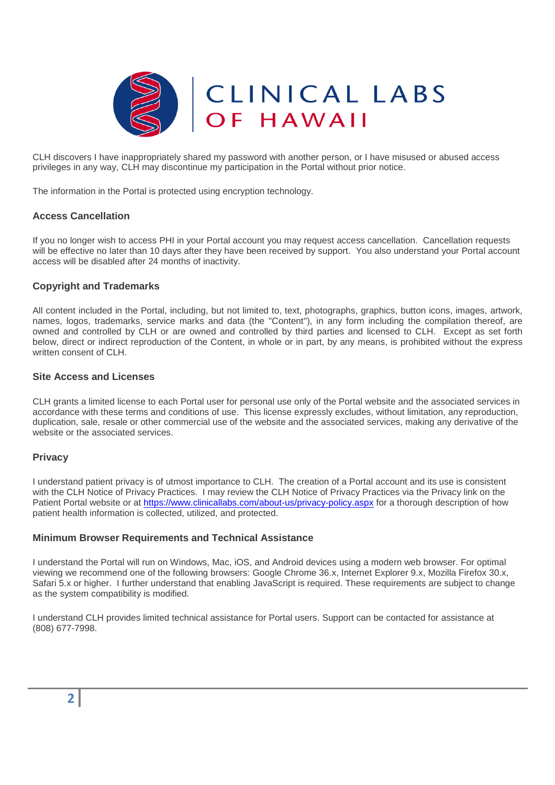

CLH discovers I have inappropriately shared my password with another person, or I have misused or abused access privileges in any way, CLH may discontinue my participation in the Portal without prior notice.

The information in the Portal is protected using encryption technology.

## **Access Cancellation**

If you no longer wish to access PHI in your Portal account you may request access cancellation. Cancellation requests will be effective no later than 10 days after they have been received by support. You also understand your Portal account access will be disabled after 24 months of inactivity.

#### **Copyright and Trademarks**

All content included in the Portal, including, but not limited to, text, photographs, graphics, button icons, images, artwork, names, logos, trademarks, service marks and data (the "Content"), in any form including the compilation thereof, are owned and controlled by CLH or are owned and controlled by third parties and licensed to CLH. Except as set forth below, direct or indirect reproduction of the Content, in whole or in part, by any means, is prohibited without the express written consent of CLH.

#### **Site Access and Licenses**

CLH grants a limited license to each Portal user for personal use only of the Portal website and the associated services in accordance with these terms and conditions of use. This license expressly excludes, without limitation, any reproduction, duplication, sale, resale or other commercial use of the website and the associated services, making any derivative of the website or the associated services.

#### **Privacy**

I understand patient privacy is of utmost importance to CLH. The creation of a Portal account and its use is consistent with the CLH Notice of Privacy Practices. I may review the CLH Notice of Privacy Practices via the Privacy link on the Patient Portal website or at https://www.clinicallabs.com/about-us/privacy-policy.aspx for a thorough description of how patient health information is collected, utilized, and protected.

#### **Minimum Browser Requirements and Technical Assistance**

I understand the Portal will run on Windows, Mac, iOS, and Android devices using a modern web browser. For optimal viewing we recommend one of the following browsers: Google Chrome 36.x, Internet Explorer 9.x, Mozilla Firefox 30.x, Safari 5.x or higher. I further understand that enabling JavaScript is required. These requirements are subject to change as the system compatibility is modified.

I understand CLH provides limited technical assistance for Portal users. Support can be contacted for assistance at (808) 677-7998.